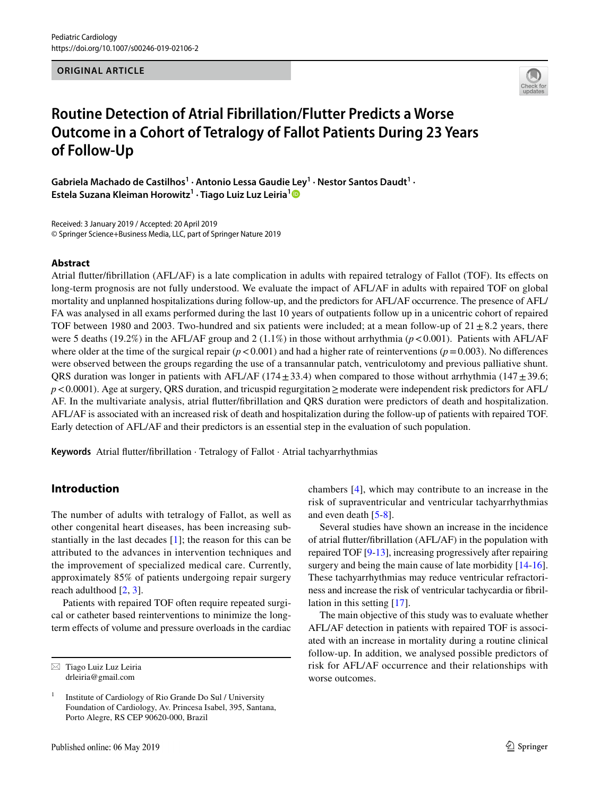**ORIGINAL ARTICLE**



# **Routine Detection of Atrial Fibrillation/Flutter Predicts a Worse Outcome in a Cohort of Tetralogy of Fallot Patients During 23 Years of Follow‑Up**

Gabriela Machado de Castilhos<sup>1</sup> · Antonio Lessa Gaudie Ley<sup>1</sup> · Nestor Santos Daudt<sup>1</sup> · **Estela Suzana Kleiman Horowitz1 · Tiago Luiz Luz Leiria[1](http://orcid.org/0000-0002-5334-0514)**

Received: 3 January 2019 / Accepted: 20 April 2019 © Springer Science+Business Media, LLC, part of Springer Nature 2019

#### **Abstract**

Atrial futter/fbrillation (AFL/AF) is a late complication in adults with repaired tetralogy of Fallot (TOF). Its efects on long-term prognosis are not fully understood. We evaluate the impact of AFL/AF in adults with repaired TOF on global mortality and unplanned hospitalizations during follow-up, and the predictors for AFL/AF occurrence. The presence of AFL/ FA was analysed in all exams performed during the last 10 years of outpatients follow up in a unicentric cohort of repaired TOF between 1980 and 2003. Two-hundred and six patients were included; at a mean follow-up of  $21 \pm 8.2$  years, there were 5 deaths (19.2%) in the AFL/AF group and 2 (1.1%) in those without arrhythmia (*p*<0.001). Patients with AFL/AF where older at the time of the surgical repair  $(p < 0.001)$  and had a higher rate of reinterventions  $(p = 0.003)$ . No differences were observed between the groups regarding the use of a transannular patch, ventriculotomy and previous palliative shunt. QRS duration was longer in patients with AFL/AF (174 $\pm$ 33.4) when compared to those without arrhythmia (147 $\pm$ 39.6; *p*<0.0001). Age at surgery, QRS duration, and tricuspid regurgitation ≥moderate were independent risk predictors for AFL/ AF. In the multivariate analysis, atrial futter/fbrillation and QRS duration were predictors of death and hospitalization. AFL/AF is associated with an increased risk of death and hospitalization during the follow-up of patients with repaired TOF. Early detection of AFL/AF and their predictors is an essential step in the evaluation of such population.

**Keywords** Atrial futter/fbrillation · Tetralogy of Fallot · Atrial tachyarrhythmias

# **Introduction**

The number of adults with tetralogy of Fallot, as well as other congenital heart diseases, has been increasing substantially in the last decades [[1](#page-7-0)]; the reason for this can be attributed to the advances in intervention techniques and the improvement of specialized medical care. Currently, approximately 85% of patients undergoing repair surgery reach adulthood [[2,](#page-7-1) [3\]](#page-7-2).

Patients with repaired TOF often require repeated surgical or catheter based reinterventions to minimize the longterm efects of volume and pressure overloads in the cardiac

Published online: 06 May 2019

chambers [[4](#page-7-3)], which may contribute to an increase in the risk of supraventricular and ventricular tachyarrhythmias and even death [[5](#page-7-4)[-8\]](#page-7-5).

Several studies have shown an increase in the incidence of atrial futter/fbrillation (AFL/AF) in the population with repaired TOF [[9-](#page-7-6)[13\]](#page-7-7), increasing progressively after repairing surgery and being the main cause of late morbidity [\[14](#page-7-8)[-16](#page-7-9)]. These tachyarrhythmias may reduce ventricular refractoriness and increase the risk of ventricular tachycardia or fbrillation in this setting [[17\]](#page-7-10).

The main objective of this study was to evaluate whether AFL/AF detection in patients with repaired TOF is associated with an increase in mortality during a routine clinical follow-up. In addition, we analysed possible predictors of risk for AFL/AF occurrence and their relationships with worse outcomes.

 $\boxtimes$  Tiago Luiz Luz Leiria drleiria@gmail.com

<sup>1</sup> Institute of Cardiology of Rio Grande Do Sul / University Foundation of Cardiology, Av. Princesa Isabel, 395, Santana, Porto Alegre, RS CEP 90620-000, Brazil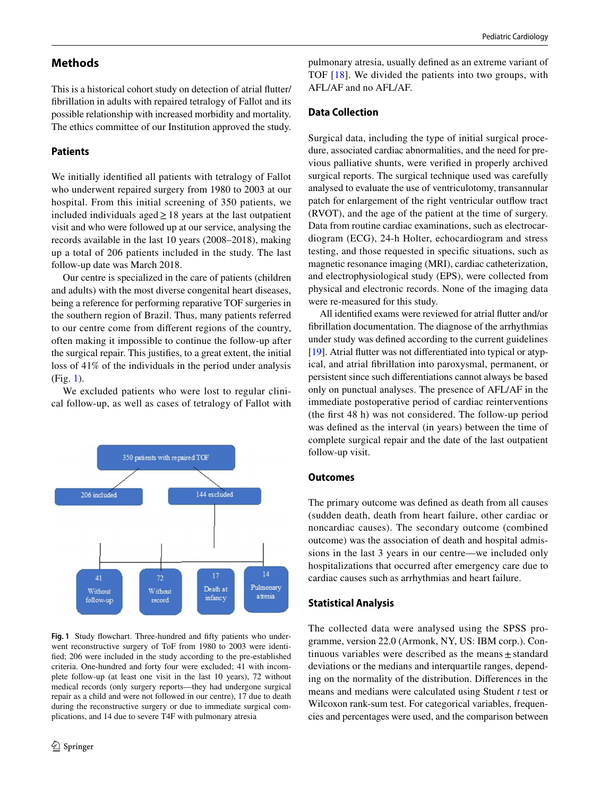## **Methods**

This is a historical cohort study on detection of atrial futter/ fbrillation in adults with repaired tetralogy of Fallot and its possible relationship with increased morbidity and mortality. The ethics committee of our Institution approved the study.

### **Patients**

We initially identifed all patients with tetralogy of Fallot who underwent repaired surgery from 1980 to 2003 at our hospital. From this initial screening of 350 patients, we included individuals aged≥18 years at the last outpatient visit and who were followed up at our service, analysing the records available in the last 10 years (2008–2018), making up a total of 206 patients included in the study. The last follow-up date was March 2018.

Our centre is specialized in the care of patients (children and adults) with the most diverse congenital heart diseases, being a reference for performing reparative TOF surgeries in the southern region of Brazil. Thus, many patients referred to our centre come from diferent regions of the country, often making it impossible to continue the follow-up after the surgical repair. This justifes, to a great extent, the initial loss of 41% of the individuals in the period under analysis (Fig. [1\)](#page-1-0).

We excluded patients who were lost to regular clinical follow-up, as well as cases of tetralogy of Fallot with



<span id="page-1-0"></span>Fig. 1 Study flowchart. Three-hundred and fifty patients who underwent reconstructive surgery of ToF from 1980 to 2003 were identifed; 206 were included in the study according to the pre-established criteria. One-hundred and forty four were excluded; 41 with incomplete follow-up (at least one visit in the last 10 years), 72 without medical records (only surgery reports—they had undergone surgical repair as a child and were not followed in our centre), 17 due to death during the reconstructive surgery or due to immediate surgical complications, and 14 due to severe T4F with pulmonary atresia

pulmonary atresia, usually defned as an extreme variant of TOF [[18](#page-7-11)]. We divided the patients into two groups, with AFL/AF and no AFL/AF.

### **Data Collection**

Surgical data, including the type of initial surgical procedure, associated cardiac abnormalities, and the need for previous palliative shunts, were verifed in properly archived surgical reports. The surgical technique used was carefully analysed to evaluate the use of ventriculotomy, transannular patch for enlargement of the right ventricular outfow tract (RVOT), and the age of the patient at the time of surgery. Data from routine cardiac examinations, such as electrocardiogram (ECG), 24-h Holter, echocardiogram and stress testing, and those requested in specifc situations, such as magnetic resonance imaging (MRI), cardiac catheterization, and electrophysiological study (EPS), were collected from physical and electronic records. None of the imaging data were re-measured for this study.

All identifed exams were reviewed for atrial futter and/or fbrillation documentation. The diagnose of the arrhythmias under study was defned according to the current guidelines [\[19](#page-7-12)]. Atrial futter was not diferentiated into typical or atypical, and atrial fbrillation into paroxysmal, permanent, or persistent since such diferentiations cannot always be based only on punctual analyses. The presence of AFL/AF in the immediate postoperative period of cardiac reinterventions (the frst 48 h) was not considered. The follow-up period was defned as the interval (in years) between the time of complete surgical repair and the date of the last outpatient follow-up visit.

#### **Outcomes**

The primary outcome was defned as death from all causes (sudden death, death from heart failure, other cardiac or noncardiac causes). The secondary outcome (combined outcome) was the association of death and hospital admissions in the last 3 years in our centre—we included only hospitalizations that occurred after emergency care due to cardiac causes such as arrhythmias and heart failure.

#### **Statistical Analysis**

The collected data were analysed using the SPSS programme, version 22.0 (Armonk, NY, US: IBM corp.). Continuous variables were described as the means $\pm$ standard deviations or the medians and interquartile ranges, depending on the normality of the distribution. Diferences in the means and medians were calculated using Student *t* test or Wilcoxon rank-sum test. For categorical variables, frequencies and percentages were used, and the comparison between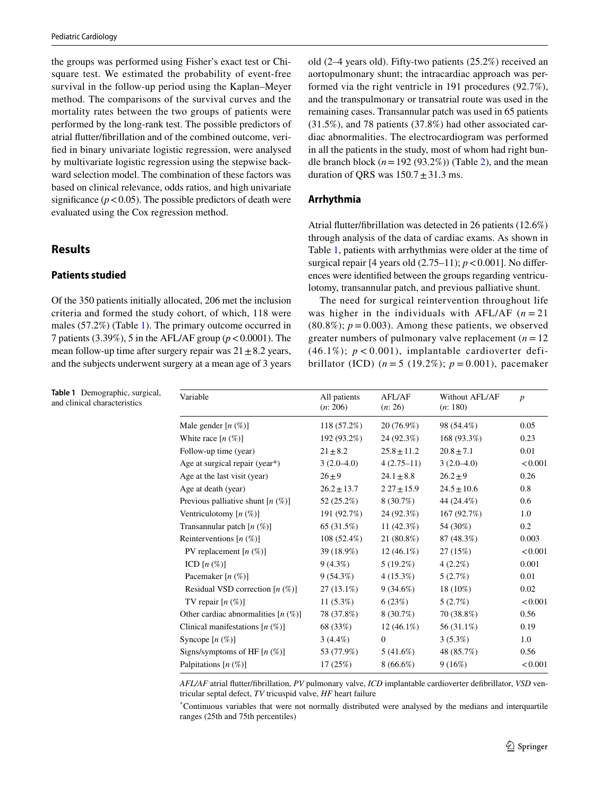the groups was performed using Fisher's exact test or Chisquare test. We estimated the probability of event-free survival in the follow-up period using the Kaplan–Meyer method. The comparisons of the survival curves and the mortality rates between the two groups of patients were performed by the long-rank test. The possible predictors of atrial futter/fbrillation and of the combined outcome, verifed in binary univariate logistic regression, were analysed by multivariate logistic regression using the stepwise backward selection model. The combination of these factors was based on clinical relevance, odds ratios, and high univariate significance  $(p < 0.05)$ . The possible predictors of death were evaluated using the Cox regression method.

# **Results**

## **Patients studied**

Of the 350 patients initially allocated, 206 met the inclusion criteria and formed the study cohort, of which, 118 were males (57.2%) (Table [1\)](#page-2-0). The primary outcome occurred in 7 patients (3.39%), 5 in the AFL/AF group (*p*<0.0001). The mean follow-up time after surgery repair was  $21 \pm 8.2$  years, and the subjects underwent surgery at a mean age of 3 years

<span id="page-2-0"></span>**Table 1** Demographic, surgical, and clinical characteristics

old (2–4 years old). Fifty-two patients (25.2%) received an aortopulmonary shunt; the intracardiac approach was performed via the right ventricle in 191 procedures (92.7%), and the transpulmonary or transatrial route was used in the remaining cases. Transannular patch was used in 65 patients (31.5%), and 78 patients (37.8%) had other associated cardiac abnormalities. The electrocardiogram was performed in all the patients in the study, most of whom had right bundle branch block  $(n=192 (93.2\%)$  (Table [2](#page-3-0)), and the mean duration of QRS was  $150.7 \pm 31.3$  ms.

# **Arrhythmia**

Atrial futter/fbrillation was detected in 26 patients (12.6%) through analysis of the data of cardiac exams. As shown in Table [1](#page-2-0), patients with arrhythmias were older at the time of surgical repair  $[4 \text{ years old } (2.75-11); p < 0.001]$ . No differences were identifed between the groups regarding ventriculotomy, transannular patch, and previous palliative shunt.

The need for surgical reintervention throughout life was higher in the individuals with AFL/AF  $(n=21)$  $(80.8\%)$ ;  $p = 0.003$ ). Among these patients, we observed greater numbers of pulmonary valve replacement  $(n = 12)$ (46.1%);  $p < 0.001$ ), implantable cardioverter defibrillator (ICD)  $(n = 5 (19.2\%)$ ;  $p = 0.001$ ), pacemaker

| Variable                               | All patients<br>(n: 206) | <b>AFL/AF</b><br>(n: 26) | Without AFL/AF<br>(n: 180) | $\boldsymbol{p}$ |
|----------------------------------------|--------------------------|--------------------------|----------------------------|------------------|
| Male gender $[n \, (\%)]$              | 118(57.2%)               | 20 (76.9%)               | 98 (54.4%)                 | 0.05             |
| White race $[n \, (\%)]$               | 192 (93.2%)              | 24 (92.3%)               | 168 (93.3%)                | 0.23             |
| Follow-up time (year)                  | $21 \pm 8.2$             | $25.8 \pm 11.2$          | $20.8 \pm 7.1$             | 0.01             |
| Age at surgical repair (year*)         | $3(2.0-4.0)$             | $4(2.75-11)$             | $3(2.0-4.0)$               | < 0.001          |
| Age at the last visit (year)           | $26 + 9$                 | $24.1 \pm 8.8$           | $26.2 + 9$                 | 0.26             |
| Age at death (year)                    | $26.2 \pm 13.7$          | $227 \pm 15.9$           | $24.5 \pm 10.6$            | 0.8              |
| Previous palliative shunt $[n (\%)]$   | 52 (25.2%)               | $8(30.7\%)$              | 44 (24.4%)                 | 0.6              |
| Ventriculotomy $[n (\%)]$              | 191 (92.7%)              | 24 (92.3%)               | 167 (92.7%)                | 1.0              |
| Transannular patch $[n (\%)]$          | 65 (31.5%)               | 11 $(42.3%)$             | 54 (30%)                   | 0.2              |
| Reinterventions $[n (\%)]$             | 108 (52.4%)              | 21 (80.8%)               | 87 (48.3%)                 | 0.003            |
| PV replacement $[n (\%)]$              | 39 (18.9%)               | $12(46.1\%)$             | 27(15%)                    | < 0.001          |
| ICD $[n \left( \% \right)]$            | $9(4.3\%)$               | $5(19.2\%)$              | $4(2.2\%)$                 | 0.001            |
| Pacemaker [n (%)]                      | $9(54.3\%)$              | $4(15.3\%)$              | 5(2.7%)                    | 0.01             |
| Residual VSD correction $[n (\%)]$     | $27(13.1\%)$             | $9(34.6\%)$              | 18 (10%)                   | 0.02             |
| TV repair $[n \, (\%)]$                | $11(5.3\%)$              | 6(23%)                   | 5(2.7%)                    | < 0.001          |
| Other cardiac abnormalities $[n (\%)]$ | 78 (37.8%)               | 8 (30.7%)                | 70 (38.8%)                 | 0.56             |
| Clinical manifestations $[n (\%)]$     | 68 (33%)                 | $12(46.1\%)$             | 56 (31.1%)                 | 0.19             |
| Syncope $[n \, (\%)]$                  | $3(4.4\%)$               | $\mathbf{0}$             | $3(5.3\%)$                 | 1.0              |
| Signs/symptoms of HF $[n \ (\%)]$      | 53 (77.9%)               | 5(41.6%)                 | 48 (85.7%)                 | 0.56             |
| Palpitations $[n (\%)]$                | 17(25%)                  | $8(66.6\%)$              | 9(16%)                     | < 0.001          |

*AFL/AF* atrial futter/fbrillation, *PV* pulmonary valve, *ICD* implantable cardioverter defbrillator, *VSD* ventricular septal defect, *TV* tricuspid valve, *HF* heart failure

\* Continuous variables that were not normally distributed were analysed by the medians and interquartile ranges (25th and 75th percentiles)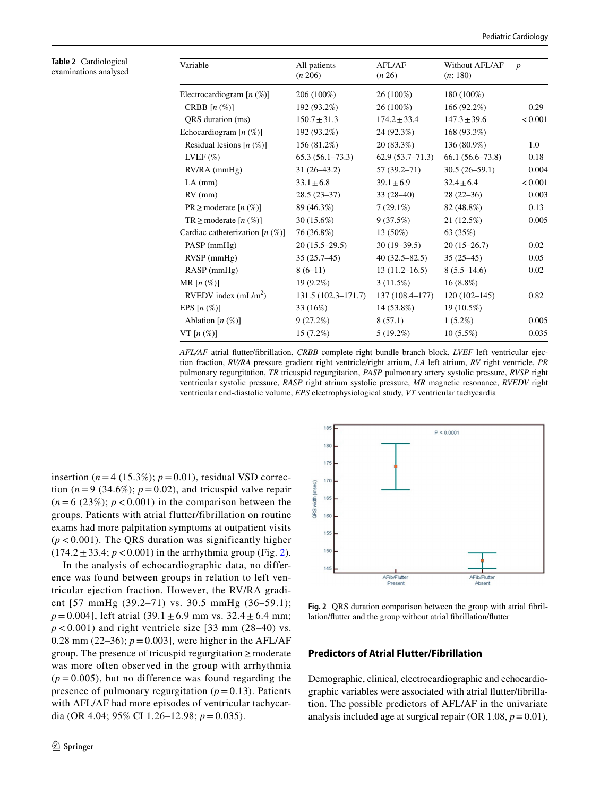<span id="page-3-0"></span>**Table 2** Cardiological examinations analysed

| Variable                           | All patients<br>(n 206) | <b>AFL/AF</b><br>(n 26) | Without AFL/AF<br>(n: 180) | $\overline{p}$ |
|------------------------------------|-------------------------|-------------------------|----------------------------|----------------|
| Electrocardiogram $[n (\%)]$       | 206 (100%)              | 26 (100%)               | 180 (100%)                 |                |
| CRBB $[n(\%)]$                     | 192 (93.2%)             | 26 (100%)               | 166(92.2%)                 | 0.29           |
| QRS duration (ms)                  | $150.7 \pm 31.3$        | $174.2 \pm 33.4$        | $147.3 \pm 39.6$           | < 0.001        |
| Echocardiogram $[n (\%)]$          | 192 (93.2%)             | 24 (92.3%)              | 168 (93.3%)                |                |
| Residual lesions $[n (\%)]$        | 156 (81.2%)             | 20 (83.3%)              | 136 (80.9%)                | 1.0            |
| LVEF $(\%)$                        | $65.3(56.1-73.3)$       | $62.9(53.7-71.3)$       | $66.1(56.6-73.8)$          | 0.18           |
| $RV/RA$ (mmHg)                     | $31(26-43.2)$           | $57(39.2 - 71)$         | $30.5(26-59.1)$            | 0.004          |
| $LA$ (mm)                          | $33.1 \pm 6.8$          | $39.1 \pm 6.9$          | $32.4 \pm 6.4$             | < 0.001        |
| $RV$ (mm)                          | $28.5(23-37)$           | $33(28-40)$             | $28(22-36)$                | 0.003          |
| $PR \geq$ moderate $[n (\%)]$      | 89 (46.3%)              | $7(29.1\%)$             | 82 (48.8%)                 | 0.13           |
| $TR \geq$ moderate $[n (\%)]$      | 30 (15.6%)              | 9(37.5%)                | 21(12.5%)                  | 0.005          |
| Cardiac catheterization $[n (\%)]$ | 76 (36.8%)              | $13(50\%)$              | 63 (35%)                   |                |
| $PASP$ (mmHg)                      | $20(15.5-29.5)$         | $30(19-39.5)$           | $20(15-26.7)$              | 0.02           |
| $RVSP$ (mmHg)                      | $35(25.7-45)$           | $40(32.5 - 82.5)$       | $35(25-45)$                | 0.05           |
| $RASP$ (mmHg)                      | $8(6-11)$               | $13(11.2 - 16.5)$       | $8(5.5-14.6)$              | 0.02           |
| MR $[n \left( % \right)]$          | $19(9.2\%)$             | $3(11.5\%)$             | $16(8.8\%)$                |                |
| RVEDV index $(mL/m2)$              | $131.5(102.3 - 171.7)$  | 137 (108.4–177)         | $120(102-145)$             | 0.82           |
| EPS $[n \left( % \right)]$         | 33 (16%)                | 14 (53.8%)              | 19 (10.5%)                 |                |
| Ablation $[n (\%)]$                | 9(27.2%)                | 8(57.1)                 | $1(5.2\%)$                 | 0.005          |
| VT $[n \, (\%)]$                   | 15 (7.2%)               | $5(19.2\%)$             | $10(5.5\%)$                | 0.035          |
|                                    |                         |                         |                            |                |

*AFL/AF* atrial futter/fbrillation, *CRBB* complete right bundle branch block, *LVEF* left ventricular ejection fraction, *RV/RA* pressure gradient right ventricle/right atrium, *LA* left atrium, *RV* right ventricle, *PR* pulmonary regurgitation, *TR* tricuspid regurgitation, *PASP* pulmonary artery systolic pressure, *RVSP* right ventricular systolic pressure, *RASP* right atrium systolic pressure, *MR* magnetic resonance, *RVEDV* right ventricular end-diastolic volume, *EPS* electrophysiological study, *VT* ventricular tachycardia

insertion  $(n=4 (15.3\%); p=0.01)$ , residual VSD correction  $(n=9$  (34.6%);  $p=0.02$ ), and tricuspid valve repair  $(n=6$  (23%);  $p < 0.001$ ) in the comparison between the groups. Patients with atrial flutter/fibrillation on routine exams had more palpitation symptoms at outpatient visits  $(p < 0.001)$ . The QRS duration was significantly higher  $(174.2 \pm 33.4; p < 0.001)$  in the arrhythmia group (Fig. [2](#page-3-1)).

In the analysis of echocardiographic data, no difference was found between groups in relation to left ventricular ejection fraction. However, the RV/RA gradient [57 mmHg (39.2–71) vs. 30.5 mmHg (36–59.1);  $p = 0.004$ ], left atrial (39.1  $\pm$  6.9 mm vs. 32.4  $\pm$  6.4 mm;  $p < 0.001$ ) and right ventricle size [33 mm (28–40) vs. 0.28 mm (22–36);  $p = 0.003$ , were higher in the AFL/AF group. The presence of tricuspid regurgitation≥ moderate was more often observed in the group with arrhythmia  $(p = 0.005)$ , but no difference was found regarding the presence of pulmonary regurgitation  $(p = 0.13)$ . Patients with AFL/AF had more episodes of ventricular tachycardia (OR 4.04; 95% CI 1.26–12.98; *p* = 0.035).



<span id="page-3-1"></span>**Fig. 2** QRS duration comparison between the group with atrial fbrillation/futter and the group without atrial fbrillation/futter

### **Predictors of Atrial Flutter/Fibrillation**

Demographic, clinical, electrocardiographic and echocardiographic variables were associated with atrial futter/fbrillation. The possible predictors of AFL/AF in the univariate analysis included age at surgical repair (OR  $1.08$ ,  $p=0.01$ ),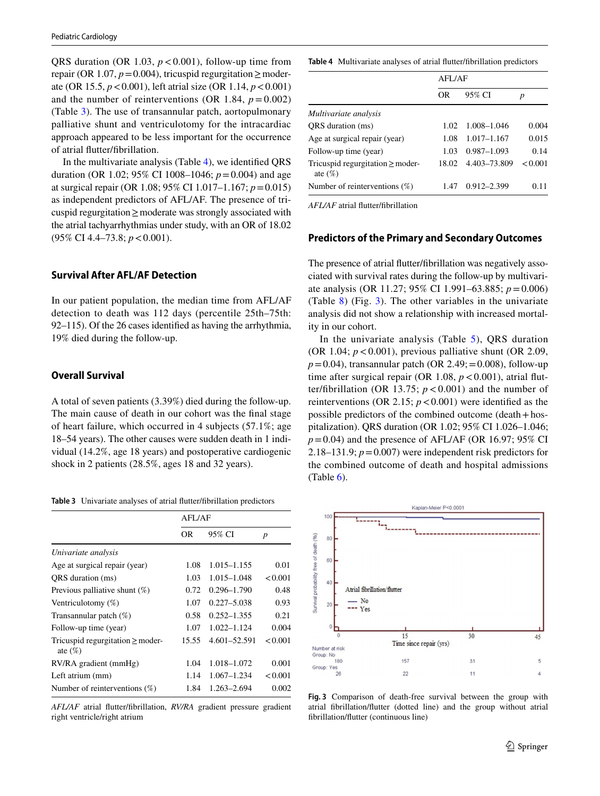QRS duration (OR 1.03,  $p < 0.001$ ), follow-up time from repair (OR 1.07,  $p=0.004$ ), tricuspid regurgitation  $\geq$  moderate (OR 15.5, *p*<0.001), left atrial size (OR 1.14, *p*<0.001) and the number of reinterventions (OR 1.84,  $p = 0.002$ ) (Table [3\)](#page-4-0). The use of transannular patch, aortopulmonary palliative shunt and ventriculotomy for the intracardiac approach appeared to be less important for the occurrence of atrial futter/fbrillation.

In the multivariate analysis (Table [4\)](#page-4-1), we identifed QRS duration (OR 1.02; 95% CI 1008–1046; *p*=0.004) and age at surgical repair (OR 1.08; 95% CI 1.017–1.167; *p*=0.015) as independent predictors of AFL/AF. The presence of tricuspid regurgitation≥moderate was strongly associated with the atrial tachyarrhythmias under study, with an OR of 18.02 (95% CI 4.4–73.8; *p*<0.001).

## **Survival After AFL/AF Detection**

In our patient population, the median time from AFL/AF detection to death was 112 days (percentile 25th–75th: 92–115). Of the 26 cases identifed as having the arrhythmia, 19% died during the follow-up.

#### **Overall Survival**

A total of seven patients (3.39%) died during the follow-up. The main cause of death in our cohort was the fnal stage of heart failure, which occurred in 4 subjects (57.1%; age 18–54 years). The other causes were sudden death in 1 individual (14.2%, age 18 years) and postoperative cardiogenic shock in 2 patients (28.5%, ages 18 and 32 years).

<span id="page-4-0"></span>**Table 3** Univariate analyses of atrial futter/fbrillation predictors

|                                                     | AFL/AF |                 |                  |
|-----------------------------------------------------|--------|-----------------|------------------|
|                                                     | OR     | 95% CI          | $\boldsymbol{p}$ |
| Univariate analysis                                 |        |                 |                  |
| Age at surgical repair (year)                       | 1.08   | $1.015 - 1.155$ | 0.01             |
| ORS duration (ms)                                   | 1.03   | $1.015 - 1.048$ | < 0.001          |
| Previous palliative shunt $(\%)$                    | 0.72   | $0.296 - 1.790$ | 0.48             |
| Ventriculotomy $(\%)$                               | 1.07   | $0.227 - 5.038$ | 0.93             |
| Transannular patch $(\%)$                           | 0.58   | $0.252 - 1.355$ | 0.21             |
| Follow-up time (year)                               | 1.07   | $1.022 - 1.124$ | 0.004            |
| Tricuspid regurgitation $\geq$ moder-<br>ate $(\%)$ | 15.55  | 4.601-52.591    | < 0.001          |
| RV/RA gradient (mmHg)                               | 1.04   | 1.018-1.072     | 0.001            |
| Left atrium (mm)                                    | 1.14   | $1.067 - 1.234$ | < 0.001          |
| Number of reinterventions $(\%)$                    | 1.84   | 1.263-2.694     | 0.002            |

*AFL/AF* atrial futter/fbrillation, *RV/RA* gradient pressure gradient right ventricle/right atrium

<span id="page-4-1"></span>**Table 4** Multivariate analyses of atrial futter/fbrillation predictors

|                                                     | AFL/AF |                 |         |  |
|-----------------------------------------------------|--------|-----------------|---------|--|
|                                                     | OR     | 95% CI          | p       |  |
| Multivariate analysis                               |        |                 |         |  |
| ORS duration (ms)                                   | 1.02   | 1.008-1.046     | 0.004   |  |
| Age at surgical repair (year)                       | 1.08   | 1.017–1.167     | 0.015   |  |
| Follow-up time (year)                               | 1.03   | $0.987 - 1.093$ | 0.14    |  |
| Tricuspid regurgitation $\geq$ moder-<br>ate $(\%)$ | 18.02  | 4.403-73.809    | < 0.001 |  |
| Number of reinterventions $(\%)$                    | 1.47   | $0.912 - 2.399$ | 0.11    |  |

*AFL/AF* atrial futter/fbrillation

#### **Predictors of the Primary and Secondary Outcomes**

The presence of atrial futter/fbrillation was negatively associated with survival rates during the follow-up by multivariate analysis (OR 11.27; 95% CI 1.991–63.885; *p*=0.006) (Table [8\)](#page-5-0) (Fig. [3\)](#page-4-2). The other variables in the univariate analysis did not show a relationship with increased mortality in our cohort.

In the univariate analysis (Table  $5$ ), QRS duration (OR 1.04;  $p < 0.001$ ), previous palliative shunt (OR 2.09,  $p = 0.04$ ), transannular patch (OR 2.49; = 0.008), follow-up time after surgical repair (OR 1.08,  $p < 0.001$ ), atrial flutter/fibrillation (OR 13.75;  $p < 0.001$ ) and the number of reinterventions (OR 2.15;  $p < 0.001$ ) were identified as the possible predictors of the combined outcome (death+hospitalization). QRS duration (OR 1.02; 95% CI 1.026–1.046;  $p=0.04$ ) and the presence of AFL/AF (OR 16.97; 95% CI 2.18–131.9;  $p = 0.007$ ) were independent risk predictors for the combined outcome of death and hospital admissions  $(Table 6)$  $(Table 6)$ .



<span id="page-4-2"></span>**Fig. 3** Comparison of death-free survival between the group with atrial fbrillation/futter (dotted line) and the group without atrial fbrillation/futter (continuous line)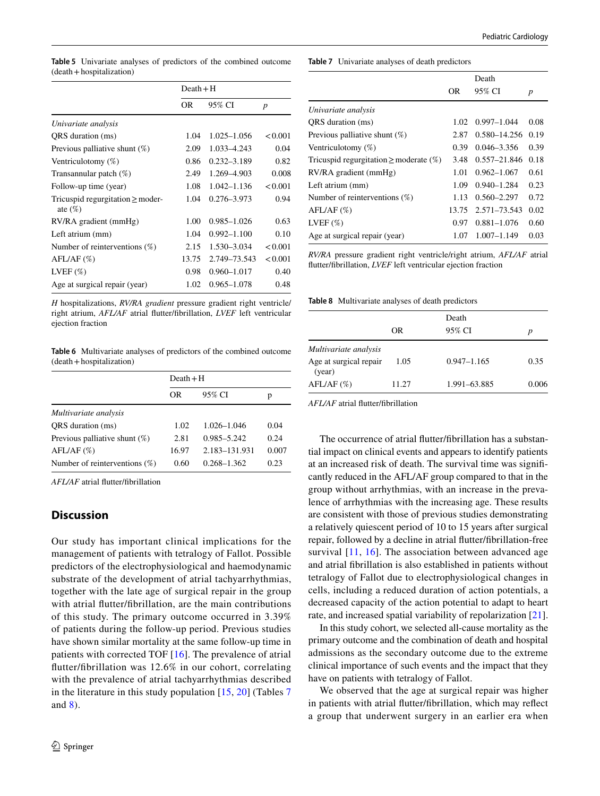|                                                     | $Death + H$ |                 |                  |
|-----------------------------------------------------|-------------|-----------------|------------------|
|                                                     | <b>OR</b>   | 95% CI          | $\boldsymbol{p}$ |
| Univariate analysis                                 |             |                 |                  |
| QRS duration (ms)                                   | 1.04        | $1.025 - 1.056$ | < 0.001          |
| Previous palliative shunt $(\%)$                    | 2.09        | 1.033-4.243     | 0.04             |
| Ventriculotomy $(\%)$                               | 0.86        | $0.232 - 3.189$ | 0.82             |
| Transannular patch $(\%)$                           | 2.49        | 1.269-4.903     | 0.008            |
| Follow-up time (year)                               | 1.08        | $1.042 - 1.136$ | < 0.001          |
| Tricuspid regurgitation $\geq$ moder-<br>ate $(\%)$ | 1.04        | 0.276-3.973     | 0.94             |
| RV/RA gradient (mmHg)                               | 1.00        | $0.985 - 1.026$ | 0.63             |
| Left atrium (mm)                                    | 1.04        | $0.992 - 1.100$ | 0.10             |
| Number of reinterventions $(\%)$                    | 2.15        | 1.530-3.034     | < 0.001          |
| $AFL/AF \ (\%)$                                     | 13.75       | 2.749-73.543    | < 0.001          |
| LVEF $(\%)$                                         | 0.98        | $0.960 - 1.017$ | 0.40             |
| Age at surgical repair (year)                       | 1.02        | 0.965-1.078     | 0.48             |

<span id="page-5-1"></span>**Table 5** Univariate analyses of predictors of the combined outcome

(death+hospitalization)

*H* hospitalizations, *RV/RA gradient* pressure gradient right ventricle/ right atrium, *AFL/AF* atrial futter/fbrillation, *LVEF* left ventricular ejection fraction

<span id="page-5-2"></span>**Table 6** Multivariate analyses of predictors of the combined outcome (death+hospitalization)

|                                  | $Death + H$ |                 |       |
|----------------------------------|-------------|-----------------|-------|
|                                  | OR          | 95% CI          | р     |
| Multivariate analysis            |             |                 |       |
| ORS duration (ms)                | 1.02        | $1.026 - 1.046$ | 0.04  |
| Previous palliative shunt $(\%)$ | 2.81        | $0.985 - 5.242$ | 0.24  |
| AFL/AF (%)                       | 16.97       | 2.183-131.931   | 0.007 |
| Number of reinterventions $(\%)$ | 0.60        | $0.268 - 1.362$ | 0.23  |

*AFL/AF* atrial futter/fbrillation

# **Discussion**

Our study has important clinical implications for the management of patients with tetralogy of Fallot. Possible predictors of the electrophysiological and haemodynamic substrate of the development of atrial tachyarrhythmias, together with the late age of surgical repair in the group with atrial futter/fbrillation, are the main contributions of this study. The primary outcome occurred in 3.39% of patients during the follow-up period. Previous studies have shown similar mortality at the same follow-up time in patients with corrected TOF [[16\]](#page-7-9). The prevalence of atrial futter/fbrillation was 12.6% in our cohort, correlating with the prevalence of atrial tachyarrhythmias described in the literature in this study population  $[15, 20]$  $[15, 20]$  $[15, 20]$  $[15, 20]$  $[15, 20]$  (Tables [7](#page-5-3)) and [8\)](#page-5-0).

<span id="page-5-3"></span>**Table 7** Univariate analyses of death predictors

|                                                |       | Death            |      |
|------------------------------------------------|-------|------------------|------|
|                                                | OR    | 95% CI           | p    |
| Univariate analysis                            |       |                  |      |
| ORS duration (ms)                              | 1.02  | $0.997 - 1.044$  | 0.08 |
| Previous palliative shunt $(\%)$               | 2.87  | 0.580-14.256     | 0.19 |
| Ventriculotomy $(\%)$                          | 0.39  | $0.046 - 3.356$  | 0.39 |
| Tricuspid regurgitation $\geq$ moderate $(\%)$ | 3.48  | $0.557 - 21.846$ | 0.18 |
| RV/RA gradient (mmHg)                          | 1.01  | $0.962 - 1.067$  | 0.61 |
| Left atrium (mm)                               | 1.09  | $0.940 - 1.284$  | 0.23 |
| Number of reinterventions $(\%)$               | 1.13  | $0.560 - 2.297$  | 0.72 |
| AFL/AF (%)                                     | 13.75 | 2.571–73.543     | 0.02 |
| LVEF $(\%)$                                    | 0.97  | $0.881 - 1.076$  | 0.60 |
| Age at surgical repair (year)                  | 1.07  | 1.007-1.149      | 0.03 |

*RV/RA* pressure gradient right ventricle/right atrium, *AFL/AF* atrial futter/fbrillation, *LVEF* left ventricular ejection fraction

<span id="page-5-0"></span>**Table 8** Multivariate analyses of death predictors

|                                  | OR    | Death<br>95% CI | р     |
|----------------------------------|-------|-----------------|-------|
| Multivariate analysis            |       |                 |       |
| Age at surgical repair<br>(year) | 1.05  | $0.947 - 1.165$ | 0.35  |
| AFL/AF (%)                       | 11.27 | 1.991-63.885    | 0.006 |

*AFL/AF* atrial futter/fbrillation

The occurrence of atrial futter/fbrillation has a substantial impact on clinical events and appears to identify patients at an increased risk of death. The survival time was signifcantly reduced in the AFL/AF group compared to that in the group without arrhythmias, with an increase in the prevalence of arrhythmias with the increasing age. These results are consistent with those of previous studies demonstrating a relatively quiescent period of 10 to 15 years after surgical repair, followed by a decline in atrial futter/fbrillation-free survival [\[11,](#page-7-15) [16\]](#page-7-9). The association between advanced age and atrial fbrillation is also established in patients without tetralogy of Fallot due to electrophysiological changes in cells, including a reduced duration of action potentials, a decreased capacity of the action potential to adapt to heart rate, and increased spatial variability of repolarization [\[21](#page-7-16)].

In this study cohort, we selected all-cause mortality as the primary outcome and the combination of death and hospital admissions as the secondary outcome due to the extreme clinical importance of such events and the impact that they have on patients with tetralogy of Fallot.

We observed that the age at surgical repair was higher in patients with atrial futter/fbrillation, which may refect a group that underwent surgery in an earlier era when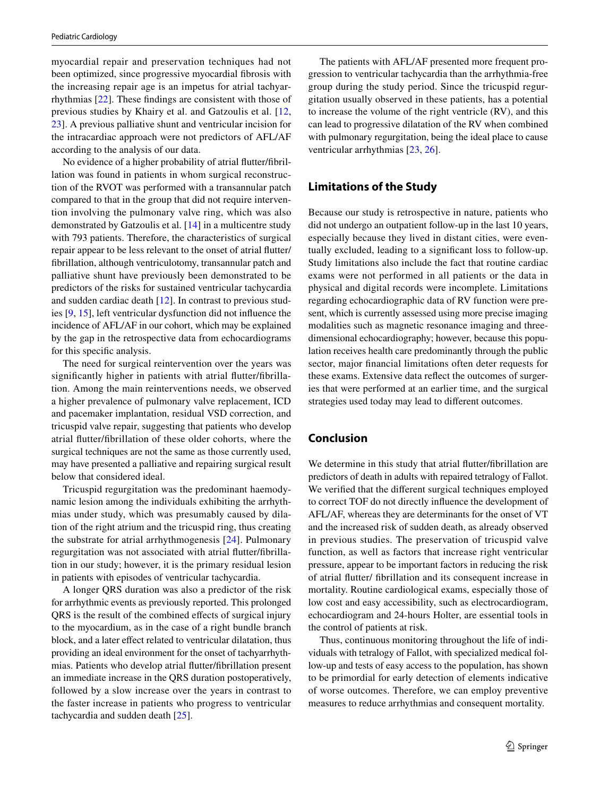myocardial repair and preservation techniques had not been optimized, since progressive myocardial fbrosis with the increasing repair age is an impetus for atrial tachyarrhythmias [\[22](#page-7-17)]. These fndings are consistent with those of previous studies by Khairy et al. and Gatzoulis et al. [\[12,](#page-7-18) [23](#page-7-19)]. A previous palliative shunt and ventricular incision for the intracardiac approach were not predictors of AFL/AF according to the analysis of our data.

No evidence of a higher probability of atrial futter/fbrillation was found in patients in whom surgical reconstruction of the RVOT was performed with a transannular patch compared to that in the group that did not require intervention involving the pulmonary valve ring, which was also demonstrated by Gatzoulis et al. [\[14](#page-7-8)] in a multicentre study with 793 patients. Therefore, the characteristics of surgical repair appear to be less relevant to the onset of atrial futter/ fbrillation, although ventriculotomy, transannular patch and palliative shunt have previously been demonstrated to be predictors of the risks for sustained ventricular tachycardia and sudden cardiac death [\[12](#page-7-18)]. In contrast to previous studies [[9,](#page-7-6) [15\]](#page-7-13), left ventricular dysfunction did not infuence the incidence of AFL/AF in our cohort, which may be explained by the gap in the retrospective data from echocardiograms for this specifc analysis.

The need for surgical reintervention over the years was signifcantly higher in patients with atrial futter/fbrillation. Among the main reinterventions needs, we observed a higher prevalence of pulmonary valve replacement, ICD and pacemaker implantation, residual VSD correction, and tricuspid valve repair, suggesting that patients who develop atrial futter/fbrillation of these older cohorts, where the surgical techniques are not the same as those currently used, may have presented a palliative and repairing surgical result below that considered ideal.

Tricuspid regurgitation was the predominant haemodynamic lesion among the individuals exhibiting the arrhythmias under study, which was presumably caused by dilation of the right atrium and the tricuspid ring, thus creating the substrate for atrial arrhythmogenesis [[24](#page-7-20)]. Pulmonary regurgitation was not associated with atrial futter/fbrillation in our study; however, it is the primary residual lesion in patients with episodes of ventricular tachycardia.

A longer QRS duration was also a predictor of the risk for arrhythmic events as previously reported. This prolonged QRS is the result of the combined efects of surgical injury to the myocardium, as in the case of a right bundle branch block, and a later efect related to ventricular dilatation, thus providing an ideal environment for the onset of tachyarrhythmias. Patients who develop atrial futter/fbrillation present an immediate increase in the QRS duration postoperatively, followed by a slow increase over the years in contrast to the faster increase in patients who progress to ventricular tachycardia and sudden death [[25\]](#page-7-21).

The patients with AFL/AF presented more frequent progression to ventricular tachycardia than the arrhythmia-free group during the study period. Since the tricuspid regurgitation usually observed in these patients, has a potential to increase the volume of the right ventricle (RV), and this can lead to progressive dilatation of the RV when combined with pulmonary regurgitation, being the ideal place to cause ventricular arrhythmias [[23,](#page-7-19) [26\]](#page-7-22).

# **Limitations of the Study**

Because our study is retrospective in nature, patients who did not undergo an outpatient follow-up in the last 10 years, especially because they lived in distant cities, were eventually excluded, leading to a signifcant loss to follow-up. Study limitations also include the fact that routine cardiac exams were not performed in all patients or the data in physical and digital records were incomplete. Limitations regarding echocardiographic data of RV function were present, which is currently assessed using more precise imaging modalities such as magnetic resonance imaging and threedimensional echocardiography; however, because this population receives health care predominantly through the public sector, major fnancial limitations often deter requests for these exams. Extensive data refect the outcomes of surgeries that were performed at an earlier time, and the surgical strategies used today may lead to diferent outcomes.

# **Conclusion**

We determine in this study that atrial flutter/fibrillation are predictors of death in adults with repaired tetralogy of Fallot. We verifed that the diferent surgical techniques employed to correct TOF do not directly infuence the development of AFL/AF, whereas they are determinants for the onset of VT and the increased risk of sudden death, as already observed in previous studies. The preservation of tricuspid valve function, as well as factors that increase right ventricular pressure, appear to be important factors in reducing the risk of atrial futter/ fbrillation and its consequent increase in mortality. Routine cardiological exams, especially those of low cost and easy accessibility, such as electrocardiogram, echocardiogram and 24-hours Holter, are essential tools in the control of patients at risk.

Thus, continuous monitoring throughout the life of individuals with tetralogy of Fallot, with specialized medical follow-up and tests of easy access to the population, has shown to be primordial for early detection of elements indicative of worse outcomes. Therefore, we can employ preventive measures to reduce arrhythmias and consequent mortality.